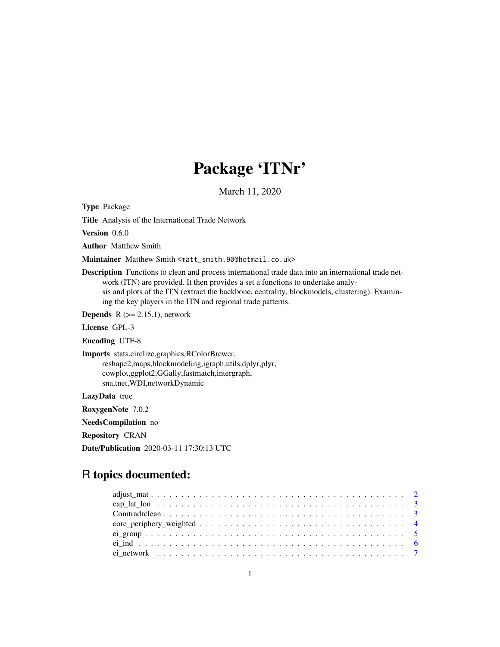# Package 'ITNr'

March 11, 2020

Type Package

Title Analysis of the International Trade Network

Version 0.6.0

Author Matthew Smith

Maintainer Matthew Smith <matt\_smith.90@hotmail.co.uk>

Description Functions to clean and process international trade data into an international trade network (ITN) are provided. It then provides a set a functions to undertake analysis and plots of the ITN (extract the backbone, centrality, blockmodels, clustering). Examining the key players in the ITN and regional trade patterns.

**Depends**  $R$  ( $>= 2.15.1$ ), network

License GPL-3

Encoding UTF-8

Imports stats,circlize,graphics,RColorBrewer, reshape2,maps,blockmodeling,igraph,utils,dplyr,plyr, cowplot,ggplot2,GGally,fastmatch,intergraph, sna,tnet,WDI,networkDynamic

LazyData true

RoxygenNote 7.0.2

NeedsCompilation no

Repository CRAN

Date/Publication 2020-03-11 17:30:13 UTC

# R topics documented: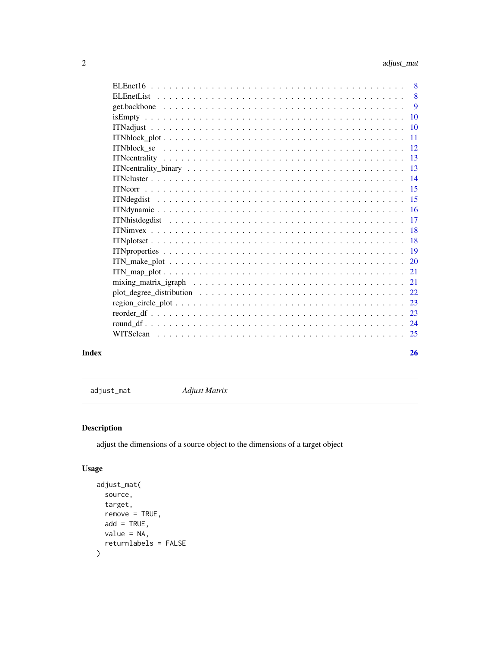<span id="page-1-0"></span>

| Index | 26 |
|-------|----|

adjust\_mat *Adjust Matrix*

# Description

adjust the dimensions of a source object to the dimensions of a target object

# Usage

```
adjust_mat(
 source,
 target,
 remove = TRUE,
 add = TRUE,value = NA,
  returnlabels = FALSE
)
```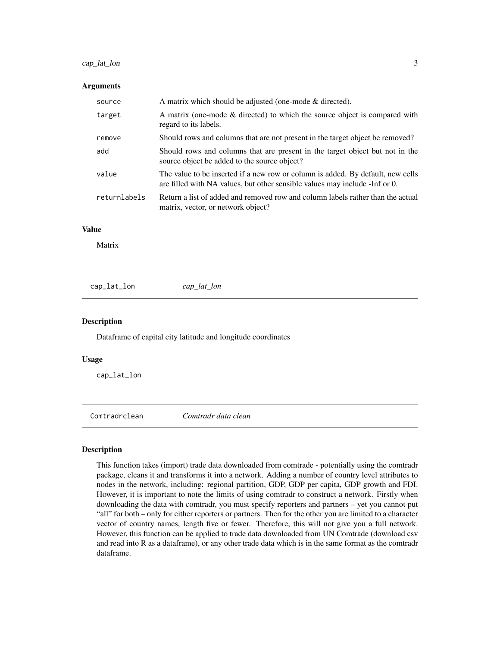# <span id="page-2-0"></span>cap\_lat\_lon 3

#### **Arguments**

| source       | A matrix which should be adjusted (one-mode $\&$ directed).                                                                                                     |
|--------------|-----------------------------------------------------------------------------------------------------------------------------------------------------------------|
| target       | A matrix (one-mode & directed) to which the source object is compared with<br>regard to its labels.                                                             |
| remove       | Should rows and columns that are not present in the target object be removed?                                                                                   |
| add          | Should rows and columns that are present in the target object but not in the<br>source object be added to the source object?                                    |
| value        | The value to be inserted if a new row or column is added. By default, new cells<br>are filled with NA values, but other sensible values may include - Inf or 0. |
| returnlabels | Return a list of added and removed row and column labels rather than the actual<br>matrix, vector, or network object?                                           |

# Value

Matrix

cap\_lat\_lon *cap\_lat\_lon*

#### Description

Dataframe of capital city latitude and longitude coordinates

#### Usage

cap\_lat\_lon

Comtradrclean *Comtradr data clean*

#### Description

This function takes (import) trade data downloaded from comtrade - potentially using the comtradr package, cleans it and transforms it into a network. Adding a number of country level attributes to nodes in the network, including: regional partition, GDP, GDP per capita, GDP growth and FDI. However, it is important to note the limits of using comtradr to construct a network. Firstly when downloading the data with comtradr, you must specify reporters and partners – yet you cannot put "all" for both – only for either reporters or partners. Then for the other you are limited to a character vector of country names, length five or fewer. Therefore, this will not give you a full network. However, this function can be applied to trade data downloaded from UN Comtrade (download csv and read into R as a dataframe), or any other trade data which is in the same format as the comtradr dataframe.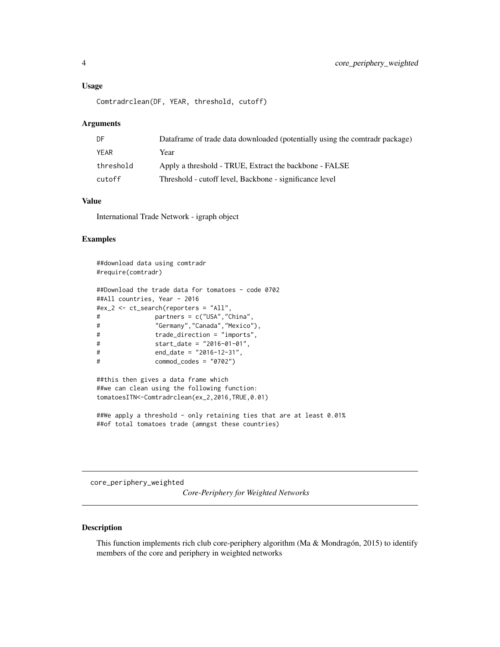#### <span id="page-3-0"></span>Usage

```
Comtradrclean(DF, YEAR, threshold, cutoff)
```
#### Arguments

| DF.       | Dataframe of trade data downloaded (potentially using the comtradr package) |
|-----------|-----------------------------------------------------------------------------|
| YEAR      | Year                                                                        |
| threshold | Apply a threshold - TRUE, Extract the backbone - FALSE                      |
| cutoff    | Threshold - cutoff level, Backbone - significance level                     |

# Value

International Trade Network - igraph object

#### Examples

```
##download data using comtradr
#require(comtradr)
##Download the trade data for tomatoes - code 0702
##All countries, Year - 2016
#ex_2 <- ct_search(reporters = "All",
# partners = c("USA","China",
# "Germany","Canada","Mexico"),
# trade_direction = "imports",
# start_date = "2016-01-01",
# end_date = "2016-12-31",
# commod_codes = "0702")
##this then gives a data frame which
##we can clean using the following function:
tomatoesITN<-Comtradrclean(ex_2,2016,TRUE,0.01)
```

```
##We apply a threshold - only retaining ties that are at least 0.01%
##of total tomatoes trade (amngst these countries)
```
core\_periphery\_weighted

*Core-Periphery for Weighted Networks*

#### Description

This function implements rich club core-periphery algorithm (Ma & Mondragón, 2015) to identify members of the core and periphery in weighted networks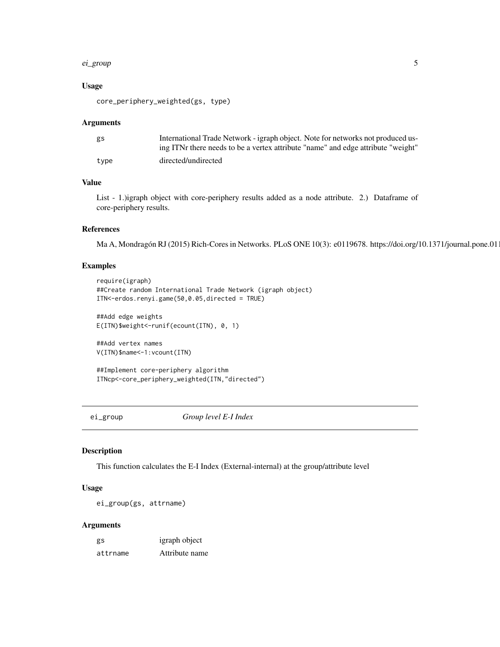#### <span id="page-4-0"></span>ei\_group 55 to 55 and 55 and 55 and 55 and 55 and 55 and 55 and 55 and 55 and 55 and 55 and 55 and 55 and 55 and 55 and 55 and 55 and 55 and 55 and 55 and 55 and 55 and 55 and 55 and 55 and 55 and 55 and 55 and 55 and 55 a

#### Usage

core\_periphery\_weighted(gs, type)

#### Arguments

| gs   | International Trade Network - igraph object. Note for networks not produced us-  |
|------|----------------------------------------------------------------------------------|
|      | ing ITNr there needs to be a vertex attribute "name" and edge attribute "weight" |
| tvpe | directed/undirected                                                              |

# Value

List - 1.)igraph object with core-periphery results added as a node attribute. 2.) Dataframe of core-periphery results.

### References

Ma A, Mondragón RJ (2015) Rich-Cores in Networks. PLoS ONE 10(3): e0119678. https://doi.org/10.1371/journal.pone.01

# Examples

```
require(igraph)
##Create random International Trade Network (igraph object)
ITN<-erdos.renyi.game(50,0.05,directed = TRUE)
##Add edge weights
```
E(ITN)\$weight<-runif(ecount(ITN), 0, 1)

```
##Add vertex names
V(ITN)$name<-1:vcount(ITN)
```
##Implement core-periphery algorithm ITNcp<-core\_periphery\_weighted(ITN,"directed")

ei\_group *Group level E-I Index*

# Description

This function calculates the E-I Index (External-internal) at the group/attribute level

#### Usage

```
ei_group(gs, attrname)
```
#### Arguments

| gs       | igraph object  |
|----------|----------------|
| attrname | Attribute name |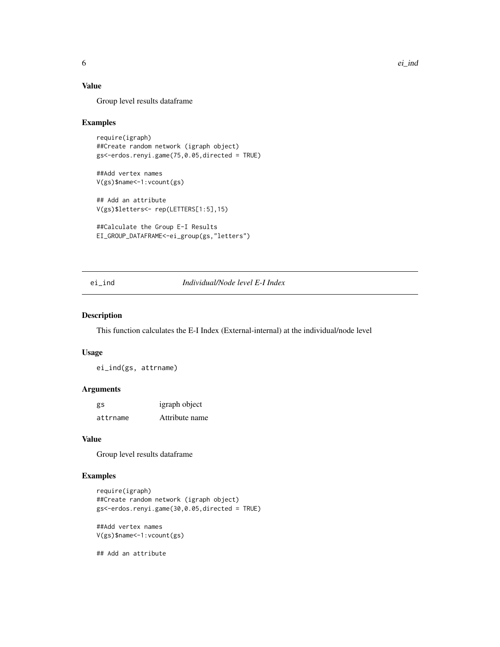# Value

Group level results dataframe

#### Examples

```
require(igraph)
##Create random network (igraph object)
gs<-erdos.renyi.game(75,0.05,directed = TRUE)
```
##Add vertex names V(gs)\$name<-1:vcount(gs)

## Add an attribute V(gs)\$letters<- rep(LETTERS[1:5],15)

```
##Calculate the Group E-I Results
EI_GROUP_DATAFRAME<-ei_group(gs,"letters")
```
# ei\_ind *Individual/Node level E-I Index*

#### Description

This function calculates the E-I Index (External-internal) at the individual/node level

#### Usage

ei\_ind(gs, attrname)

#### Arguments

| gs       | igraph object  |
|----------|----------------|
| attrname | Attribute name |

#### Value

Group level results dataframe

# Examples

```
require(igraph)
##Create random network (igraph object)
gs<-erdos.renyi.game(30,0.05,directed = TRUE)
##Add vertex names
V(gs)$name<-1:vcount(gs)
```
## Add an attribute

<span id="page-5-0"></span>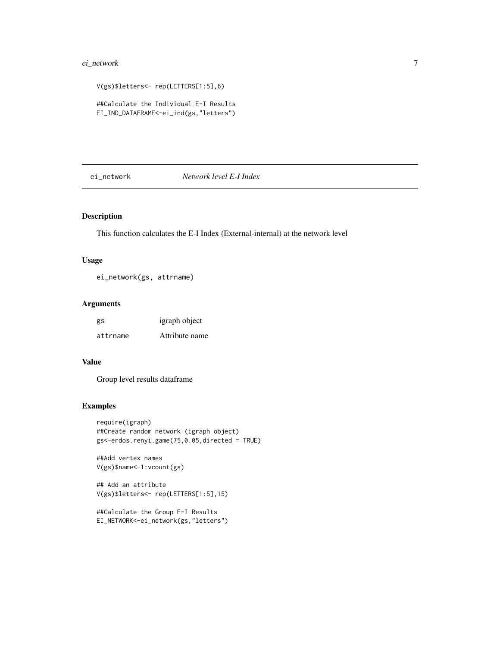# <span id="page-6-0"></span>ei\_network 7

```
V(gs)$letters<- rep(LETTERS[1:5],6)
##Calculate the Individual E-I Results
EI_IND_DATAFRAME<-ei_ind(gs,"letters")
```
# ei\_network *Network level E-I Index*

# Description

This function calculates the E-I Index (External-internal) at the network level

# Usage

ei\_network(gs, attrname)

#### Arguments

| gs       | igraph object  |
|----------|----------------|
| attrname | Attribute name |

#### Value

Group level results dataframe

#### Examples

```
require(igraph)
##Create random network (igraph object)
gs<-erdos.renyi.game(75,0.05,directed = TRUE)
```

```
##Add vertex names
V(gs)$name<-1:vcount(gs)
```

```
## Add an attribute
V(gs)$letters<- rep(LETTERS[1:5],15)
```

```
##Calculate the Group E-I Results
EI_NETWORK<-ei_network(gs,"letters")
```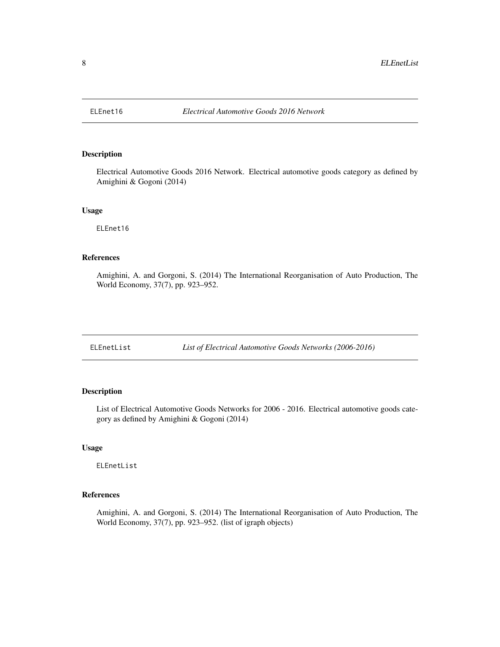<span id="page-7-0"></span>

Electrical Automotive Goods 2016 Network. Electrical automotive goods category as defined by Amighini & Gogoni (2014)

#### Usage

ELEnet16

# References

Amighini, A. and Gorgoni, S. (2014) The International Reorganisation of Auto Production, The World Economy, 37(7), pp. 923–952.

ELEnetList *List of Electrical Automotive Goods Networks (2006-2016)*

# Description

List of Electrical Automotive Goods Networks for 2006 - 2016. Electrical automotive goods category as defined by Amighini & Gogoni (2014)

#### Usage

ELEnetList

# References

Amighini, A. and Gorgoni, S. (2014) The International Reorganisation of Auto Production, The World Economy, 37(7), pp. 923–952. (list of igraph objects)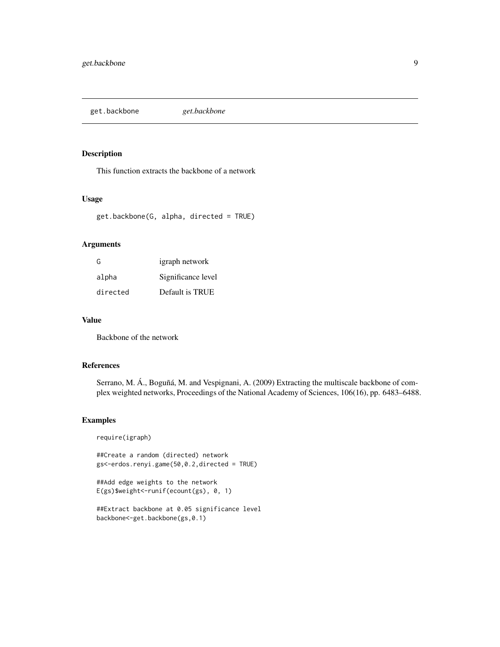<span id="page-8-0"></span>get.backbone *get.backbone*

#### Description

This function extracts the backbone of a network

# Usage

get.backbone(G, alpha, directed = TRUE)

### Arguments

| G        | igraph network     |
|----------|--------------------|
| alpha    | Significance level |
| directed | Default is TRUE    |

# Value

Backbone of the network

#### References

Serrano, M. Á., Boguñá, M. and Vespignani, A. (2009) Extracting the multiscale backbone of complex weighted networks, Proceedings of the National Academy of Sciences, 106(16), pp. 6483–6488.

#### Examples

require(igraph)

##Create a random (directed) network gs<-erdos.renyi.game(50,0.2,directed = TRUE)

##Add edge weights to the network E(gs)\$weight<-runif(ecount(gs), 0, 1)

```
##Extract backbone at 0.05 significance level
backbone<-get.backbone(gs,0.1)
```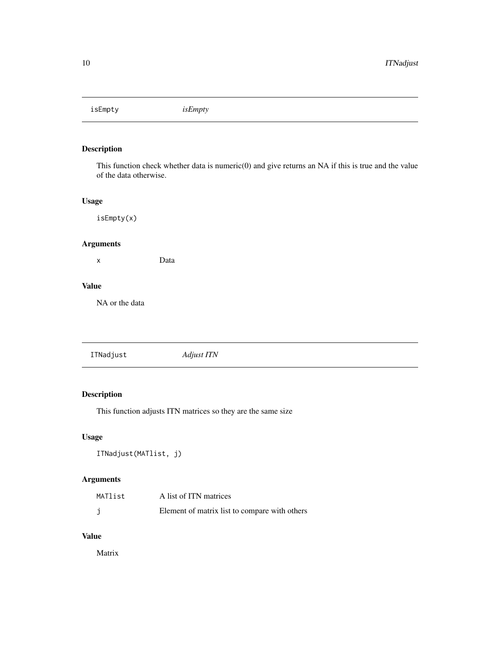<span id="page-9-0"></span>isEmpty *isEmpty*

# Description

This function check whether data is numeric(0) and give returns an NA if this is true and the value of the data otherwise.

# Usage

isEmpty(x)

# Arguments

x Data

# Value

NA or the data

| ITNadjust<br><i>Adjust ITN</i> |
|--------------------------------|
|--------------------------------|

# Description

This function adjusts ITN matrices so they are the same size

# Usage

```
ITNadjust(MATlist, j)
```
# Arguments

| MATlist | A list of ITN matrices                        |
|---------|-----------------------------------------------|
|         | Element of matrix list to compare with others |

# Value

Matrix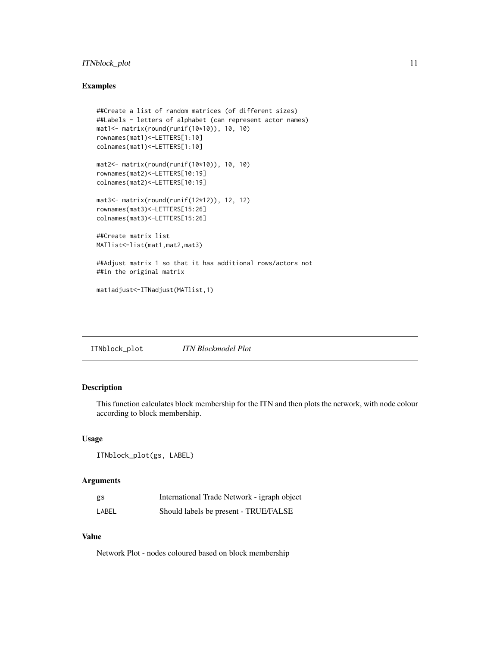# <span id="page-10-0"></span>ITNblock\_plot 11

#### Examples

```
##Create a list of random matrices (of different sizes)
##Labels - letters of alphabet (can represent actor names)
mat1<- matrix(round(runif(10*10)), 10, 10)
rownames(mat1)<-LETTERS[1:10]
colnames(mat1)<-LETTERS[1:10]
mat2<- matrix(round(runif(10*10)), 10, 10)
rownames(mat2)<-LETTERS[10:19]
colnames(mat2)<-LETTERS[10:19]
mat3<- matrix(round(runif(12*12)), 12, 12)
rownames(mat3)<-LETTERS[15:26]
colnames(mat3)<-LETTERS[15:26]
##Create matrix list
MATlist<-list(mat1,mat2,mat3)
##Adjust matrix 1 so that it has additional rows/actors not
##in the original matrix
mat1adjust<-ITNadjust(MATlist,1)
```
ITNblock\_plot *ITN Blockmodel Plot*

# Description

This function calculates block membership for the ITN and then plots the network, with node colour according to block membership.

#### Usage

```
ITNblock_plot(gs, LABEL)
```
# Arguments

| gs    | International Trade Network - igraph object |
|-------|---------------------------------------------|
| LABEL | Should labels be present - TRUE/FALSE       |

#### Value

Network Plot - nodes coloured based on block membership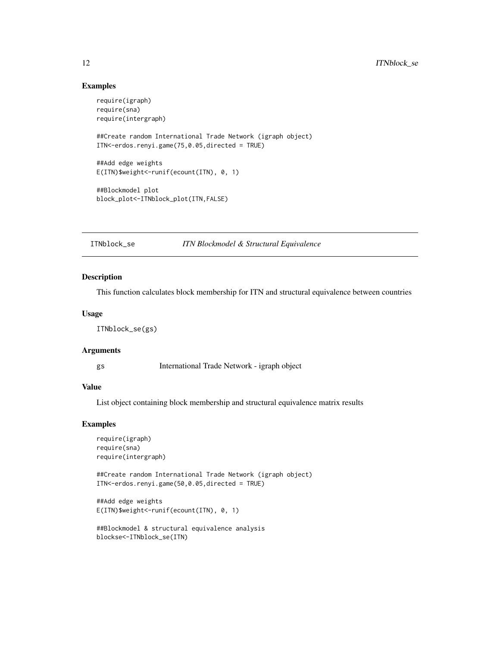#### <span id="page-11-0"></span>Examples

```
require(igraph)
require(sna)
require(intergraph)
##Create random International Trade Network (igraph object)
ITN<-erdos.renyi.game(75,0.05,directed = TRUE)
##Add edge weights
E(ITN)$weight<-runif(ecount(ITN), 0, 1)
##Blockmodel plot
block_plot<-ITNblock_plot(ITN,FALSE)
```
### ITNblock\_se *ITN Blockmodel & Structural Equivalence*

#### Description

This function calculates block membership for ITN and structural equivalence between countries

#### Usage

ITNblock\_se(gs)

### Arguments

gs International Trade Network - igraph object

# Value

List object containing block membership and structural equivalence matrix results

#### Examples

```
require(igraph)
require(sna)
require(intergraph)
```
##Create random International Trade Network (igraph object) ITN<-erdos.renyi.game(50,0.05,directed = TRUE)

```
##Add edge weights
E(ITN)$weight<-runif(ecount(ITN), 0, 1)
```

```
##Blockmodel & structural equivalence analysis
blockse<-ITNblock_se(ITN)
```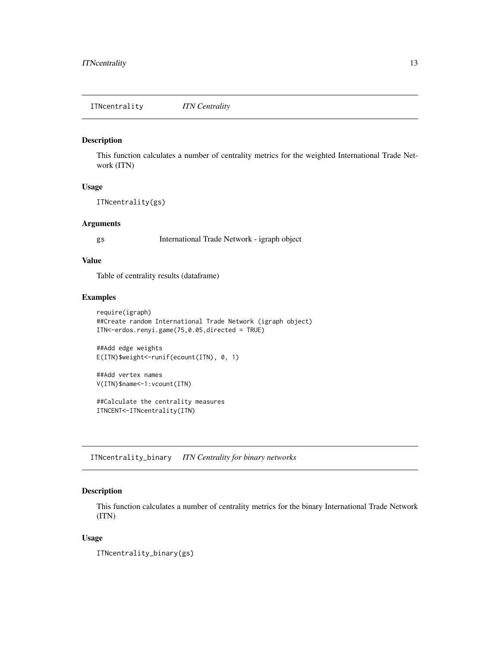<span id="page-12-0"></span>This function calculates a number of centrality metrics for the weighted International Trade Network (ITN)

#### Usage

ITNcentrality(gs)

#### **Arguments**

gs International Trade Network - igraph object

## Value

Table of centrality results (dataframe)

#### Examples

```
require(igraph)
##Create random International Trade Network (igraph object)
ITN<-erdos.renyi.game(75,0.05,directed = TRUE)
```
##Add edge weights E(ITN)\$weight<-runif(ecount(ITN), 0, 1)

##Add vertex names V(ITN)\$name<-1:vcount(ITN)

##Calculate the centrality measures ITNCENT<-ITNcentrality(ITN)

ITNcentrality\_binary *ITN Centrality for binary networks*

#### Description

This function calculates a number of centrality metrics for the binary International Trade Network (ITN)

#### Usage

ITNcentrality\_binary(gs)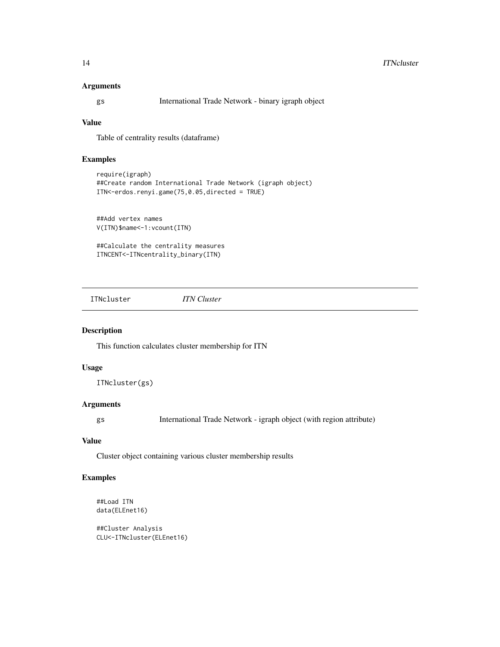#### <span id="page-13-0"></span>Arguments

gs International Trade Network - binary igraph object

# Value

Table of centrality results (dataframe)

## Examples

```
require(igraph)
##Create random International Trade Network (igraph object)
ITN<-erdos.renyi.game(75,0.05,directed = TRUE)
```
##Add vertex names V(ITN)\$name<-1:vcount(ITN)

##Calculate the centrality measures ITNCENT<-ITNcentrality\_binary(ITN)

ITNcluster *ITN Cluster*

# Description

This function calculates cluster membership for ITN

#### Usage

ITNcluster(gs)

# Arguments

gs International Trade Network - igraph object (with region attribute)

# Value

Cluster object containing various cluster membership results

# Examples

```
##Load ITN
data(ELEnet16)
```
##Cluster Analysis CLU<-ITNcluster(ELEnet16)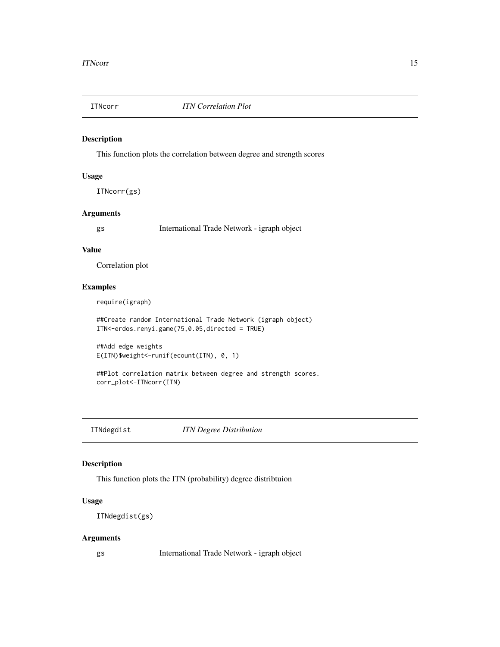<span id="page-14-0"></span>

This function plots the correlation between degree and strength scores

# Usage

ITNcorr(gs)

# Arguments

gs International Trade Network - igraph object

#### Value

Correlation plot

# Examples

require(igraph)

##Create random International Trade Network (igraph object) ITN<-erdos.renyi.game(75,0.05,directed = TRUE)

```
##Add edge weights
E(ITN)$weight<-runif(ecount(ITN), 0, 1)
```

```
##Plot correlation matrix between degree and strength scores.
corr_plot<-ITNcorr(ITN)
```
ITNdegdist *ITN Degree Distribution*

# Description

This function plots the ITN (probability) degree distribtuion

# Usage

ITNdegdist(gs)

#### Arguments

gs International Trade Network - igraph object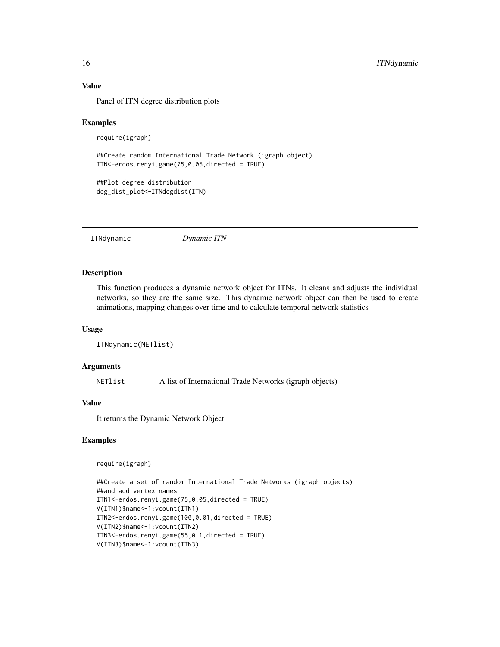#### Value

Panel of ITN degree distribution plots

#### Examples

```
require(igraph)
```

```
##Create random International Trade Network (igraph object)
ITN<-erdos.renyi.game(75,0.05,directed = TRUE)
```

```
##Plot degree distribution
deg_dist_plot<-ITNdegdist(ITN)
```
ITNdynamic *Dynamic ITN*

#### Description

This function produces a dynamic network object for ITNs. It cleans and adjusts the individual networks, so they are the same size. This dynamic network object can then be used to create animations, mapping changes over time and to calculate temporal network statistics

#### Usage

```
ITNdynamic(NETlist)
```
#### Arguments

NETlist A list of International Trade Networks (igraph objects)

#### Value

It returns the Dynamic Network Object

# Examples

require(igraph)

```
##Create a set of random International Trade Networks (igraph objects)
##and add vertex names
ITN1<-erdos.renyi.game(75,0.05,directed = TRUE)
V(ITN1)$name<-1:vcount(ITN1)
ITN2<-erdos.renyi.game(100,0.01,directed = TRUE)
V(ITN2)$name<-1:vcount(ITN2)
ITN3<-erdos.renyi.game(55,0.1,directed = TRUE)
V(ITN3)$name<-1:vcount(ITN3)
```
<span id="page-15-0"></span>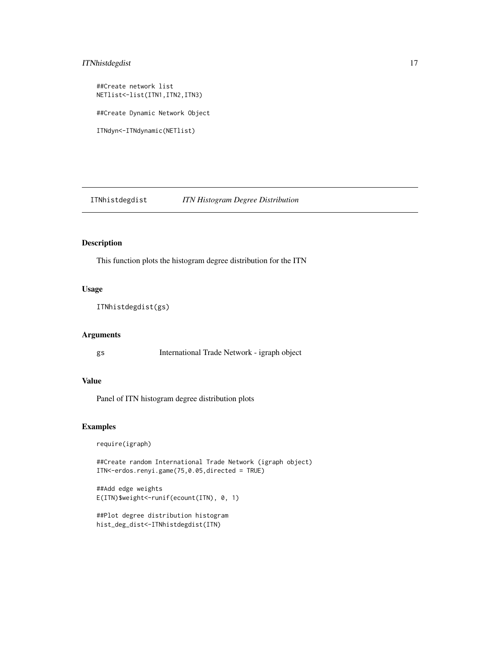# <span id="page-16-0"></span>ITNhistdegdist 17

##Create network list NETlist<-list(ITN1,ITN2,ITN3) ##Create Dynamic Network Object ITNdyn<-ITNdynamic(NETlist)

ITNhistdegdist *ITN Histogram Degree Distribution*

#### Description

This function plots the histogram degree distribution for the ITN

#### Usage

ITNhistdegdist(gs)

# Arguments

gs International Trade Network - igraph object

# Value

Panel of ITN histogram degree distribution plots

# Examples

require(igraph)

##Create random International Trade Network (igraph object) ITN<-erdos.renyi.game(75,0.05,directed = TRUE)

##Add edge weights E(ITN)\$weight<-runif(ecount(ITN), 0, 1)

```
##Plot degree distribution histogram
hist_deg_dist<-ITNhistdegdist(ITN)
```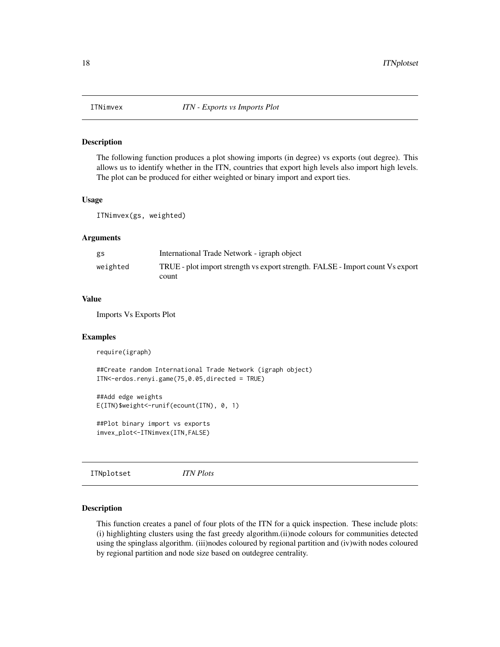<span id="page-17-0"></span>

The following function produces a plot showing imports (in degree) vs exports (out degree). This allows us to identify whether in the ITN, countries that export high levels also import high levels. The plot can be produced for either weighted or binary import and export ties.

#### Usage

ITNimvex(gs, weighted)

# Arguments

| gs       | International Trade Network - igraph object                                    |
|----------|--------------------------------------------------------------------------------|
| weighted | TRUE - plot import strength vs export strength. FALSE - Import count Vs export |
|          | count                                                                          |

#### Value

Imports Vs Exports Plot

# Examples

```
require(igraph)
```

```
##Create random International Trade Network (igraph object)
ITN<-erdos.renyi.game(75,0.05,directed = TRUE)
```

```
##Add edge weights
E(ITN)$weight<-runif(ecount(ITN), 0, 1)
```

```
##Plot binary import vs exports
imvex_plot<-ITNimvex(ITN,FALSE)
```
ITNplotset *ITN Plots*

#### Description

This function creates a panel of four plots of the ITN for a quick inspection. These include plots: (i) highlighting clusters using the fast greedy algorithm.(ii)node colours for communities detected using the spinglass algorithm. (iii)nodes coloured by regional partition and (iv)with nodes coloured by regional partition and node size based on outdegree centrality.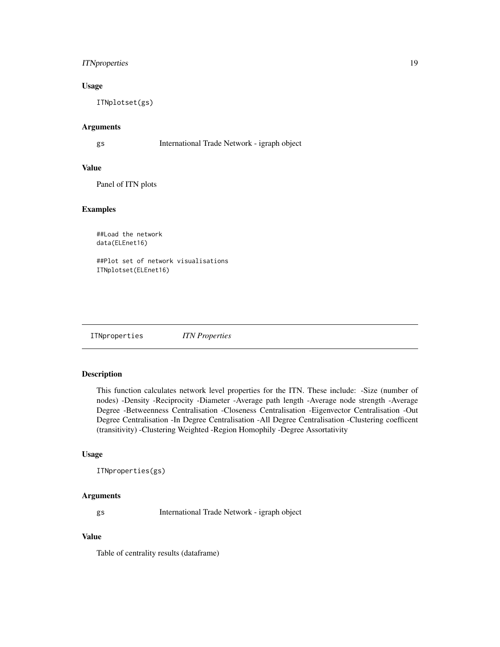# <span id="page-18-0"></span>ITN properties 19

# Usage

ITNplotset(gs)

#### Arguments

gs International Trade Network - igraph object

#### Value

Panel of ITN plots

#### Examples

##Load the network data(ELEnet16)

##Plot set of network visualisations ITNplotset(ELEnet16)

ITNproperties *ITN Properties*

# Description

This function calculates network level properties for the ITN. These include: -Size (number of nodes) -Density -Reciprocity -Diameter -Average path length -Average node strength -Average Degree -Betweenness Centralisation -Closeness Centralisation -Eigenvector Centralisation -Out Degree Centralisation -In Degree Centralisation -All Degree Centralisation -Clustering coefficent (transitivity) -Clustering Weighted -Region Homophily -Degree Assortativity

# Usage

```
ITNproperties(gs)
```
#### Arguments

gs International Trade Network - igraph object

# Value

Table of centrality results (dataframe)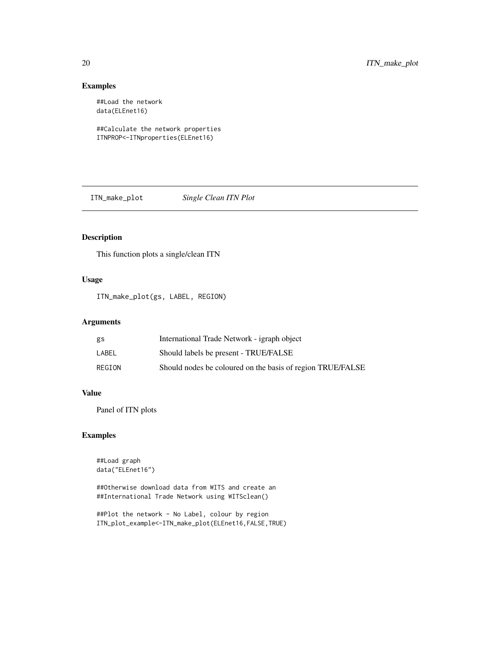# Examples

##Load the network data(ELEnet16)

##Calculate the network properties ITNPROP<-ITNproperties(ELEnet16)

ITN\_make\_plot *Single Clean ITN Plot*

# Description

This function plots a single/clean ITN

# Usage

ITN\_make\_plot(gs, LABEL, REGION)

# Arguments

| gs     | International Trade Network - igraph object                |
|--------|------------------------------------------------------------|
| LABEL  | Should labels be present - TRUE/FALSE                      |
| REGION | Should nodes be coloured on the basis of region TRUE/FALSE |

# Value

Panel of ITN plots

# Examples

```
##Load graph
data("ELEnet16")
```
##Otherwise download data from WITS and create an ##International Trade Network using WITSclean()

##Plot the network - No Label, colour by region ITN\_plot\_example<-ITN\_make\_plot(ELEnet16,FALSE,TRUE)

<span id="page-19-0"></span>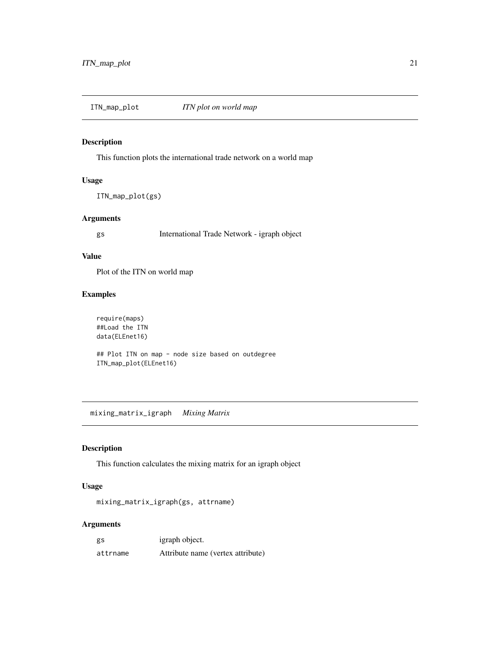<span id="page-20-0"></span>ITN\_map\_plot *ITN plot on world map*

#### Description

This function plots the international trade network on a world map

# Usage

ITN\_map\_plot(gs)

# Arguments

gs International Trade Network - igraph object

#### Value

Plot of the ITN on world map

# Examples

require(maps) ##Load the ITN data(ELEnet16)

## Plot ITN on map - node size based on outdegree ITN\_map\_plot(ELEnet16)

mixing\_matrix\_igraph *Mixing Matrix*

#### Description

This function calculates the mixing matrix for an igraph object

# Usage

mixing\_matrix\_igraph(gs, attrname)

# Arguments

| gs       | igraph object.                    |
|----------|-----------------------------------|
| attrname | Attribute name (vertex attribute) |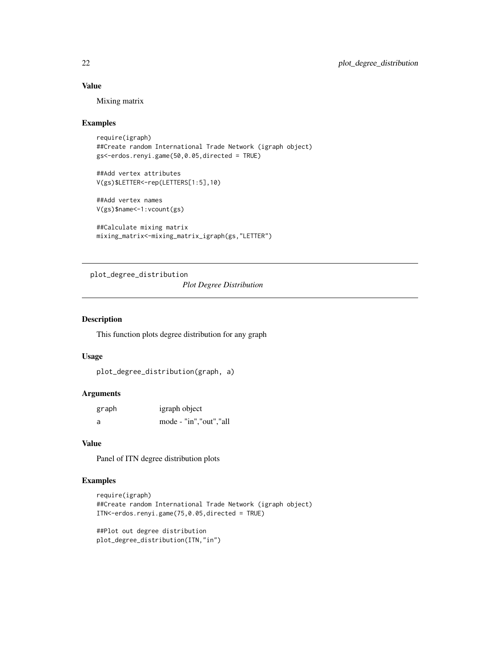# Value

Mixing matrix

#### Examples

```
require(igraph)
##Create random International Trade Network (igraph object)
gs<-erdos.renyi.game(50,0.05,directed = TRUE)
```
##Add vertex attributes V(gs)\$LETTER<-rep(LETTERS[1:5],10)

##Add vertex names V(gs)\$name<-1:vcount(gs)

```
##Calculate mixing matrix
mixing_matrix<-mixing_matrix_igraph(gs,"LETTER")
```
plot\_degree\_distribution

*Plot Degree Distribution*

#### Description

This function plots degree distribution for any graph

#### Usage

```
plot_degree_distribution(graph, a)
```
# Arguments

| graph | igraph object            |
|-------|--------------------------|
| a     | mode - "in", "out", "all |

#### Value

Panel of ITN degree distribution plots

# Examples

```
require(igraph)
##Create random International Trade Network (igraph object)
ITN<-erdos.renyi.game(75,0.05,directed = TRUE)
```

```
##Plot out degree distribution
plot_degree_distribution(ITN,"in")
```
<span id="page-21-0"></span>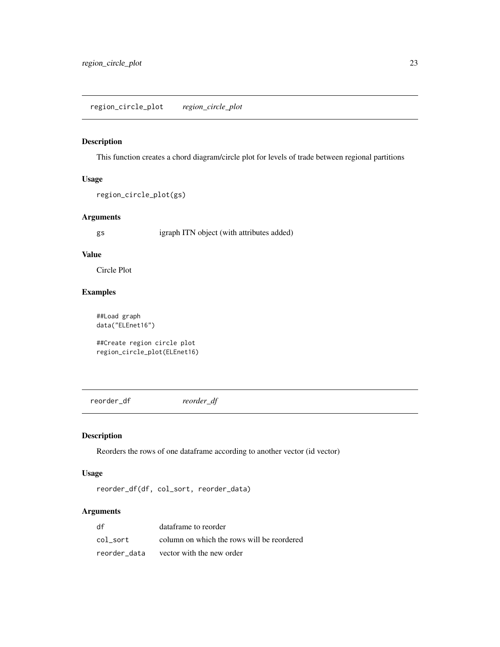<span id="page-22-0"></span>This function creates a chord diagram/circle plot for levels of trade between regional partitions

# Usage

```
region_circle_plot(gs)
```
#### Arguments

gs igraph ITN object (with attributes added)

#### Value

Circle Plot

# Examples

##Load graph data("ELEnet16")

##Create region circle plot region\_circle\_plot(ELEnet16)

reorder\_df *reorder\_df*

# Description

Reorders the rows of one dataframe according to another vector (id vector)

## Usage

reorder\_df(df, col\_sort, reorder\_data)

# Arguments

| df           | dataframe to reorder                       |
|--------------|--------------------------------------------|
| col sort     | column on which the rows will be reordered |
| reorder data | vector with the new order                  |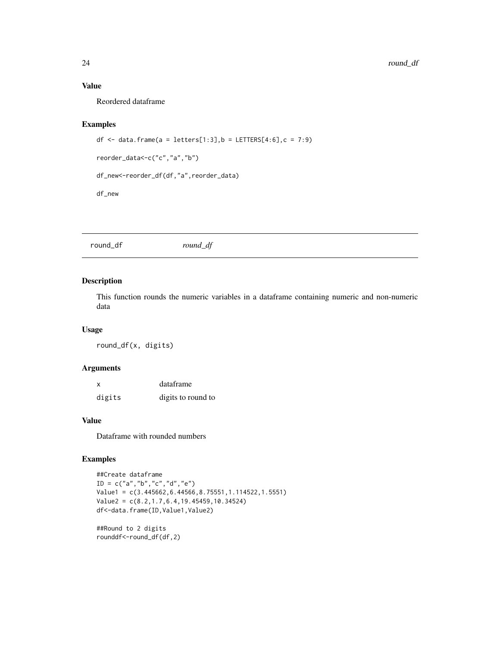# <span id="page-23-0"></span>Value

Reordered dataframe

#### Examples

```
df \le data.frame(a = letters[1:3],b = LETTERS[4:6],c = 7:9)
reorder_data<-c("c","a","b")
df_new<-reorder_df(df,"a",reorder_data)
df_new
```

| round_df | round_df |  |
|----------|----------|--|
|          |          |  |

# Description

This function rounds the numeric variables in a dataframe containing numeric and non-numeric data

#### Usage

round\_df(x, digits)

# Arguments

| $\boldsymbol{\mathsf{x}}$ | dataframe          |
|---------------------------|--------------------|
| digits                    | digits to round to |

# Value

Dataframe with rounded numbers

#### Examples

```
##Create dataframe
ID = c("a", "b", "c", "d", "e")Value1 = c(3.445662,6.44566,8.75551,1.114522,1.5551)
Value2 = c(8.2,1.7,6.4,19.45459,10.34524)
df<-data.frame(ID,Value1,Value2)
##Round to 2 digits
```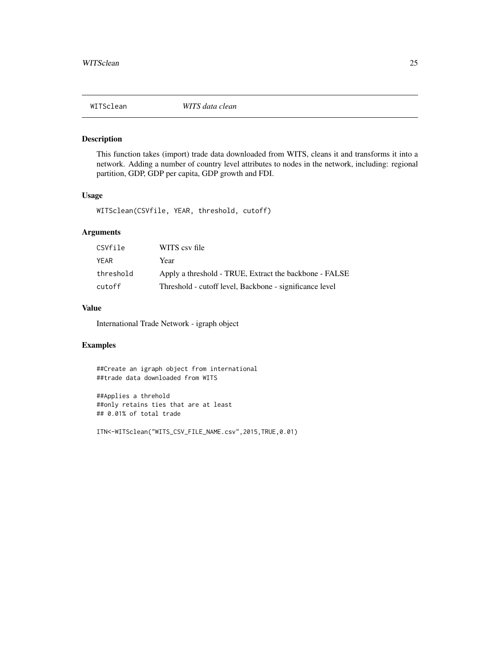<span id="page-24-0"></span>

This function takes (import) trade data downloaded from WITS, cleans it and transforms it into a network. Adding a number of country level attributes to nodes in the network, including: regional partition, GDP, GDP per capita, GDP growth and FDI.

#### Usage

WITSclean(CSVfile, YEAR, threshold, cutoff)

# Arguments

| CSVfile   | WITS csy file                                           |
|-----------|---------------------------------------------------------|
| YEAR      | Year                                                    |
| threshold | Apply a threshold - TRUE, Extract the backbone - FALSE  |
| cutoff    | Threshold - cutoff level, Backbone - significance level |

#### Value

International Trade Network - igraph object

# Examples

##Create an igraph object from international ##trade data downloaded from WITS

##Applies a threhold ##only retains ties that are at least ## 0.01% of total trade

ITN<-WITSclean("WITS\_CSV\_FILE\_NAME.csv",2015,TRUE,0.01)